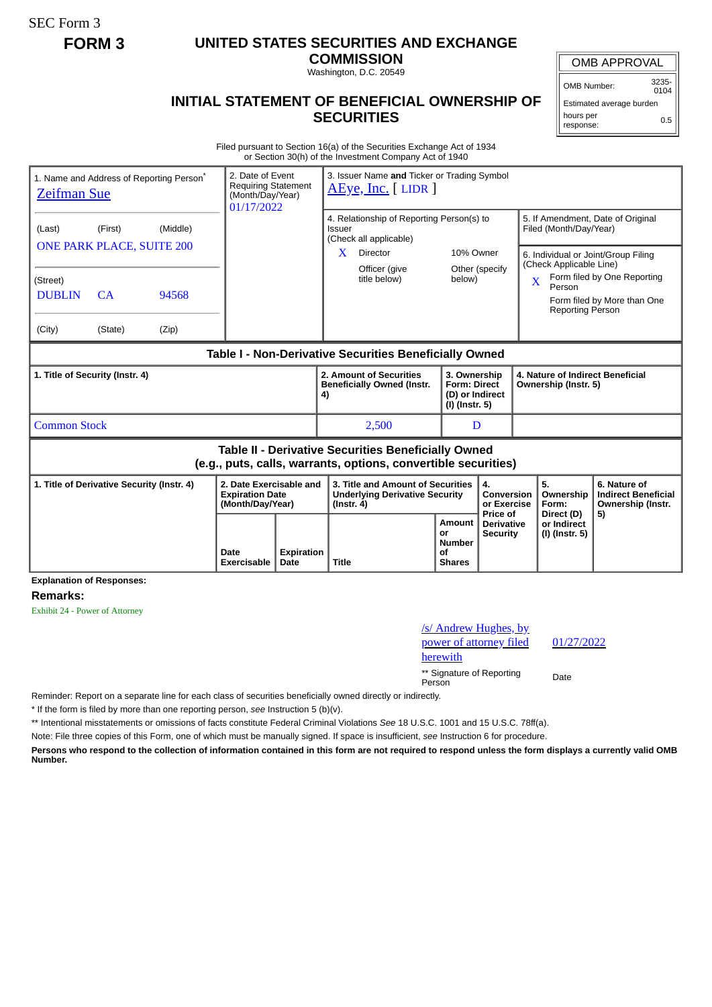SEC Form 3

# **FORM 3 UNITED STATES SECURITIES AND EXCHANGE**

**COMMISSION**

Washington, D.C. 20549

## **INITIAL STATEMENT OF BENEFICIAL OWNERSHIP OF SECURITIES**

OMB Number: 3235-  $0104$ 

Estimated average burden hours per response: 0.5

Filed pursuant to Section 16(a) of the Securities Exchange Act of 1934 or Section 30(h) of the Investment Company Act of 1940

| 1. Name and Address of Reporting Person <sup>*</sup><br><b>Zeifman Sue</b>                                                   | 2. Date of Event<br><b>Requiring Statement</b><br>(Month/Day/Year)<br>01/17/2022 |                            | 3. Issuer Name and Ticker or Trading Symbol<br>AEye, Inc. [LIDR]      |                    |                                                                                                |                                                                                                                  |                                                                          |                                                  |                                                                                                                                                                                                                                       |                          |                                                                 |
|------------------------------------------------------------------------------------------------------------------------------|----------------------------------------------------------------------------------|----------------------------|-----------------------------------------------------------------------|--------------------|------------------------------------------------------------------------------------------------|------------------------------------------------------------------------------------------------------------------|--------------------------------------------------------------------------|--------------------------------------------------|---------------------------------------------------------------------------------------------------------------------------------------------------------------------------------------------------------------------------------------|--------------------------|-----------------------------------------------------------------|
| (Last)<br>(Street)<br><b>DUBLIN</b><br>(City)                                                                                | (First)<br><b>ONE PARK PLACE, SUITE 200</b><br>CA<br>(State)                     | (Middle)<br>94568<br>(Zip) |                                                                       |                    | Issuer<br>X.                                                                                   | 4. Relationship of Reporting Person(s) to<br>(Check all applicable)<br>Director<br>Officer (give<br>title below) | 10% Owner<br>Other (specify<br>below)                                    |                                                  | 5. If Amendment, Date of Original<br>Filed (Month/Day/Year)<br>6. Individual or Joint/Group Filing<br>(Check Applicable Line)<br>Form filed by One Reporting<br>X<br>Person<br>Form filed by More than One<br><b>Reporting Person</b> |                          |                                                                 |
| Table I - Non-Derivative Securities Beneficially Owned                                                                       |                                                                                  |                            |                                                                       |                    |                                                                                                |                                                                                                                  |                                                                          |                                                  |                                                                                                                                                                                                                                       |                          |                                                                 |
| 1. Title of Security (Instr. 4)                                                                                              |                                                                                  |                            |                                                                       |                    | 4)                                                                                             | 2. Amount of Securities<br><b>Beneficially Owned (Instr.</b>                                                     | 3. Ownership<br><b>Form: Direct</b><br>(D) or Indirect<br>(I) (Instr. 5) |                                                  | 4. Nature of Indirect Beneficial<br>Ownership (Instr. 5)                                                                                                                                                                              |                          |                                                                 |
| <b>Common Stock</b>                                                                                                          |                                                                                  |                            |                                                                       |                    |                                                                                                | 2,500                                                                                                            | D                                                                        |                                                  |                                                                                                                                                                                                                                       |                          |                                                                 |
| <b>Table II - Derivative Securities Beneficially Owned</b><br>(e.g., puts, calls, warrants, options, convertible securities) |                                                                                  |                            |                                                                       |                    |                                                                                                |                                                                                                                  |                                                                          |                                                  |                                                                                                                                                                                                                                       |                          |                                                                 |
| 1. Title of Derivative Security (Instr. 4)<br><b>Explanation of Responses:</b>                                               |                                                                                  |                            | 2. Date Exercisable and<br><b>Expiration Date</b><br>(Month/Day/Year) |                    | 3. Title and Amount of Securities<br><b>Underlying Derivative Security</b><br>$($ lnstr. 4 $)$ |                                                                                                                  |                                                                          | 4.<br>Conversion<br>or Exercise                  |                                                                                                                                                                                                                                       | 5.<br>Ownership<br>Form: | 6. Nature of<br><b>Indirect Beneficial</b><br>Ownership (Instr. |
|                                                                                                                              |                                                                                  |                            | Date<br>Exercisable                                                   | Expiration<br>Date | <b>Title</b>                                                                                   |                                                                                                                  | Amount<br>or<br><b>Number</b><br>οf<br><b>Shares</b>                     | Price of<br><b>Derivative</b><br><b>Security</b> | Direct (D)<br>or Indirect<br>(I) (Instr. 5)                                                                                                                                                                                           |                          | 5)                                                              |

### **Remarks:**

Exhibit 24 - Power of Attorney

/s/ Andrew Hughes, by power of attorney filed herewith \*\* Signature of Reporting Person Date

01/27/2022

Reminder: Report on a separate line for each class of securities beneficially owned directly or indirectly.

\* If the form is filed by more than one reporting person, *see* Instruction 5 (b)(v).

\*\* Intentional misstatements or omissions of facts constitute Federal Criminal Violations *See* 18 U.S.C. 1001 and 15 U.S.C. 78ff(a).

Note: File three copies of this Form, one of which must be manually signed. If space is insufficient, *see* Instruction 6 for procedure.

**Persons who respond to the collection of information contained in this form are not required to respond unless the form displays a currently valid OMB Number.**

OMB APPROVAL